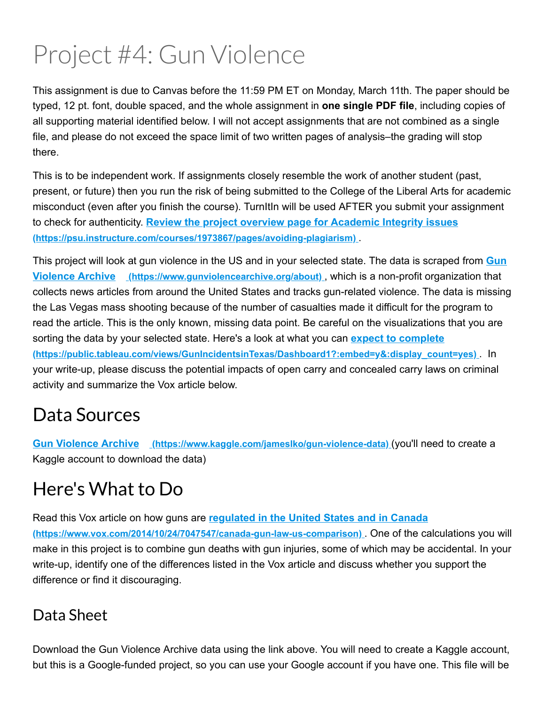# Project #4: Gun Violence

This assignment is due to Canvas before the 11:59 PM ET on Monday, March 11th. The paper should be typed, 12 pt. font, double spaced, and the whole assignment in **one single PDF file**, including copies of all supporting material identified below. I will not accept assignments that are not combined as a single file, and please do not exceed the space limit of two written pages of analysis–the grading will stop there.

This is to be independent work. If assignments closely resemble the work of another student (past, present, or future) then you run the risk of being submitted to the College of the Liberal Arts for academic misconduct (even after you finish the course). TurnItIn will be used AFTER you submit your assignment to check for authenticity. **Review the project overview page for Academic Integrity issues (https://psu.instructure.com/courses/1973867/pages/avoiding-plagiarism).** 

This project will look at gun violence in the US and in your selected state. The data is scraped from **Gun Violence Archive** (https://www.gunviolencearchive.org/about), which is a non-profit organization that collects news articles from around the United States and tracks gun-related violence. The data is missing the Las Vegas mass shooting because of the number of casualties made it difficult for the program to read the article. This is the only known, missing data point. Be careful on the visualizations that you are sorting the data by your selected state. Here's a look at what you can **expect to complete (https://public.tableau.com/views/GunIncidentsinTexas/Dashboard1?:embed=y&:display\_count=yes)** . In your write-up, please discuss the potential impacts of open carry and concealed carry laws on criminal activity and summarize the Vox article below.

# Data Sources

**Gun Violence Archive** (https://www.kaggle.com/jameslko/gun-violence-data) (you'll need to create a Kaggle account to download the data)

# Here's What to Do

Read this Vox article on how guns are **regulated in the United States and in Canada** (https://www.vox.com/2014/10/24/7047547/canada-gun-law-us-comparison). One of the calculations you will make in this project is to combine gun deaths with gun injuries, some of which may be accidental. In your write-up, identify one of the differences listed in the Vox article and discuss whether you support the difference or find it discouraging.

### Data Sheet

Download the Gun Violence Archive data using the link above. You will need to create a Kaggle account, but this is a Google-funded project, so you can use your Google account if you have one. This file will be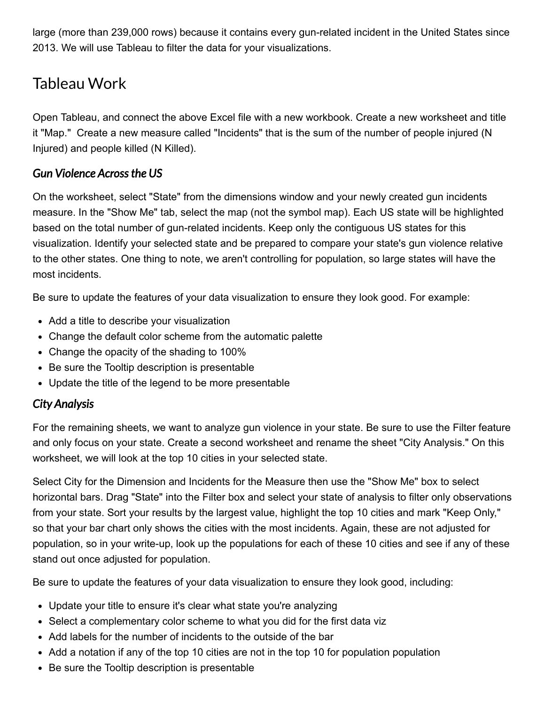large (more than 239,000 rows) because it contains every gun-related incident in the United States since 2013. We will use Tableau to filter the data for your visualizations.

### Tableau Work

Open Tableau, and connect the above Excel file with a new workbook. Create a new worksheet and title it "Map." Create a new measure called "Incidents" that is the sum of the number of people injured (N Injured) and people killed (N Killed).

#### *Gun Violence Acrossthe US*

On the worksheet, select "State" from the dimensions window and your newly created gun incidents measure. In the "Show Me" tab, select the map (not the symbol map). Each US state will be highlighted based on the total number of gun-related incidents. Keep only the contiguous US states for this visualization. Identify your selected state and be prepared to compare your state's gun violence relative to the other states. One thing to note, we aren't controlling for population, so large states will have the most incidents.

Be sure to update the features of your data visualization to ensure they look good. For example:

- Add a title to describe your visualization
- Change the default color scheme from the automatic palette
- Change the opacity of the shading to 100%
- Be sure the Tooltip description is presentable
- Update the title of the legend to be more presentable

#### *City Analysis*

For the remaining sheets, we want to analyze gun violence in your state. Be sure to use the Filter feature and only focus on your state. Create a second worksheet and rename the sheet "City Analysis." On this worksheet, we will look at the top 10 cities in your selected state.

Select City for the Dimension and Incidents for the Measure then use the "Show Me" box to select horizontal bars. Drag "State" into the Filter box and select your state of analysis to filter only observations from your state. Sort your results by the largest value, highlight the top 10 cities and mark "Keep Only," so that your bar chart only shows the cities with the most incidents. Again, these are not adjusted for population, so in your write-up, look up the populations for each of these 10 cities and see if any of these stand out once adjusted for population.

Be sure to update the features of your data visualization to ensure they look good, including:

- Update your title to ensure it's clear what state you're analyzing
- Select a complementary color scheme to what you did for the first data viz
- Add labels for the number of incidents to the outside of the bar
- Add a notation if any of the top 10 cities are not in the top 10 for population population
- Be sure the Tooltip description is presentable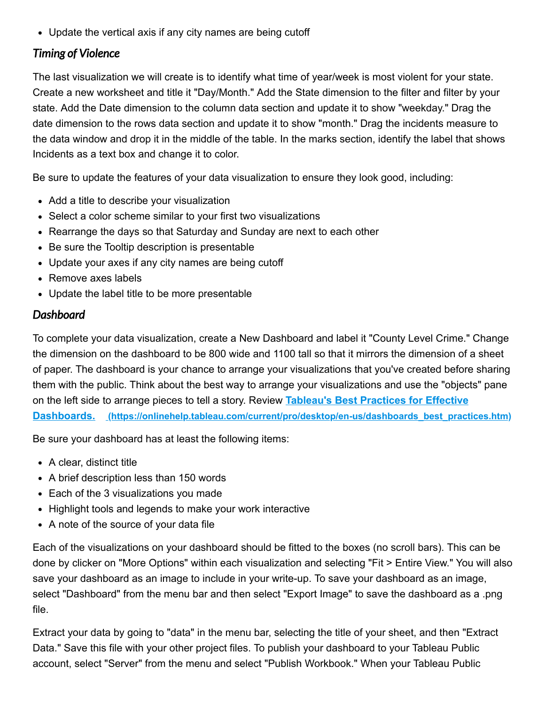Update the vertical axis if any city names are being cutoff

#### *Timing of Violence*

The last visualization we will create is to identify what time of year/week is most violent for your state. Create a new worksheet and title it "Day/Month." Add the State dimension to the filter and filter by your state. Add the Date dimension to the column data section and update it to show "weekday." Drag the date dimension to the rows data section and update it to show "month." Drag the incidents measure to the data window and drop it in the middle of the table. In the marks section, identify the label that shows Incidents as a text box and change it to color.

Be sure to update the features of your data visualization to ensure they look good, including:

- Add a title to describe your visualization
- Select a color scheme similar to your first two visualizations
- Rearrange the days so that Saturday and Sunday are next to each other
- Be sure the Tooltip description is presentable
- Update your axes if any city names are being cutoff
- Remove axes labels
- Update the label title to be more presentable

#### *Dashboard*

To complete your data visualization, create a New Dashboard and label it "County Level Crime." Change the dimension on the dashboard to be 800 wide and 1100 tall so that it mirrors the dimension of a sheet of paper. The dashboard is your chance to arrange your visualizations that you've created before sharing them with the public. Think about the best way to arrange your visualizations and use the "objects" pane on the left side to arrange pieces to tell a story. Review **Tableau's Best Practices for Effective Dashboards.** (https://onlinehelp.tableau.com/current/pro/desktop/en-us/dashboards best\_practices.htm)

Be sure your dashboard has at least the following items:

- A clear, distinct title
- A brief description less than 150 words
- Each of the 3 visualizations you made
- Highlight tools and legends to make your work interactive
- A note of the source of your data file

Each of the visualizations on your dashboard should be fitted to the boxes (no scroll bars). This can be done by clicker on "More Options" within each visualization and selecting "Fit > Entire View." You will also save your dashboard as an image to include in your write-up. To save your dashboard as an image, select "Dashboard" from the menu bar and then select "Export Image" to save the dashboard as a .png file.

Extract your data by going to "data" in the menu bar, selecting the title of your sheet, and then "Extract Data." Save this file with your other project files. To publish your dashboard to your Tableau Public account, select "Server" from the menu and select "Publish Workbook." When your Tableau Public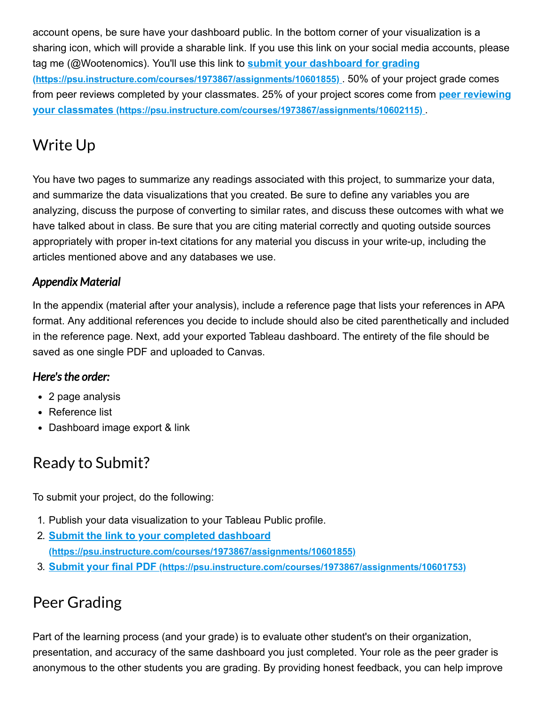account opens, be sure have your dashboard public. In the bottom corner of your visualization is a sharing icon, which will provide a sharable link. If you use this link on your social media accounts, please tag me (@Wootenomics). You'll use this link to **submit your dashboard for grading (https://psu.instructure.com/courses/1973867/assignments/10601855)** . 50% of your project grade comes from peer reviews completed by your classmates. 25% of your project scores come from **peer reviewing your classmates (https://psu.instructure.com/courses/1973867/assignments/10602115)** .

# Write Up

You have two pages to summarize any readings associated with this project, to summarize your data, and summarize the data visualizations that you created. Be sure to define any variables you are analyzing, discuss the purpose of converting to similar rates, and discuss these outcomes with what we have talked about in class. Be sure that you are citing material correctly and quoting outside sources appropriately with proper in-text citations for any material you discuss in your write-up, including the articles mentioned above and any databases we use.

#### *Appendix Material*

In the appendix (material after your analysis), include a reference page that lists your references in APA format. Any additional references you decide to include should also be cited parenthetically and included in the reference page. Next, add your exported Tableau dashboard. The entirety of the file should be saved as one single PDF and uploaded to Canvas.

#### *Here'sthe order:*

- 2 page analysis
- Reference list
- Dashboard image export & link

# Ready to Submit?

To submit your project, do the following:

- 1. Publish your data visualization to your Tableau Public profile.
- 2. **Submit the link to your completed dashboard (https://psu.instructure.com/courses/1973867/assignments/10601855)**
- 3. **Submit your final PDF (https://psu.instructure.com/courses/1973867/assignments/10601753)**

# Peer Grading

Part of the learning process (and your grade) is to evaluate other student's on their organization, presentation, and accuracy of the same dashboard you just completed. Your role as the peer grader is anonymous to the other students you are grading. By providing honest feedback, you can help improve